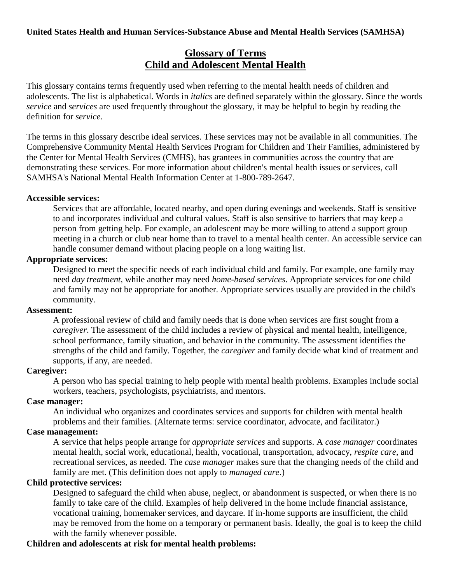# **Glossary of Terms Child and Adolescent Mental Health**

This glossary contains terms frequently used when referring to the mental health needs of children and adolescents. The list is alphabetical. Words in *italics* are defined separately within the glossary. Since the words *service* and *services* are used frequently throughout the glossary, it may be helpful to begin by reading the definition for *service*.

The terms in this glossary describe ideal services. These services may not be available in all communities. The Comprehensive Community Mental Health Services Program for Children and Their Families, administered by the Center for Mental Health Services (CMHS), has grantees in communities across the country that are demonstrating these services. For more information about children's mental health issues or services, call SAMHSA's National Mental Health Information Center at 1-800-789-2647.

### **Accessible services:**

Services that are affordable, located nearby, and open during evenings and weekends. Staff is sensitive to and incorporates individual and cultural values. Staff is also sensitive to barriers that may keep a person from getting help. For example, an adolescent may be more willing to attend a support group meeting in a church or club near home than to travel to a mental health center. An accessible service can handle consumer demand without placing people on a long waiting list.

### **Appropriate services:**

Designed to meet the specific needs of each individual child and family. For example, one family may need *day treatment*, while another may need *home-based services*. Appropriate services for one child and family may not be appropriate for another. Appropriate services usually are provided in the child's community.

#### **Assessment:**

A professional review of child and family needs that is done when services are first sought from a *caregiver*. The assessment of the child includes a review of physical and mental health, intelligence, school performance, family situation, and behavior in the community. The assessment identifies the strengths of the child and family. Together, the *caregiver* and family decide what kind of treatment and supports, if any, are needed.

#### **Caregiver:**

A person who has special training to help people with mental health problems. Examples include social workers, teachers, psychologists, psychiatrists, and mentors.

# **Case manager:**

An individual who organizes and coordinates services and supports for children with mental health problems and their families. (Alternate terms: service coordinator, advocate, and facilitator.)

# **Case management:**

A service that helps people arrange for *appropriate services* and supports. A *case manager* coordinates mental health, social work, educational, health, vocational, transportation, advocacy, *respite care*, and recreational services, as needed. The *case manager* makes sure that the changing needs of the child and family are met. (This definition does not apply to *managed care*.)

### **Child protective services:**

Designed to safeguard the child when abuse, neglect, or abandonment is suspected, or when there is no family to take care of the child. Examples of help delivered in the home include financial assistance, vocational training, homemaker services, and daycare. If in-home supports are insufficient, the child may be removed from the home on a temporary or permanent basis. Ideally, the goal is to keep the child with the family whenever possible.

### **Children and adolescents at risk for mental health problems:**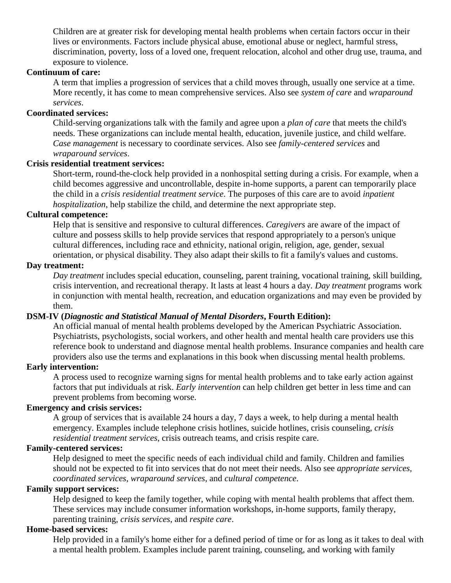Children are at greater risk for developing mental health problems when certain factors occur in their lives or environments. Factors include physical abuse, emotional abuse or neglect, harmful stress, discrimination, poverty, loss of a loved one, frequent relocation, alcohol and other drug use, trauma, and exposure to violence.

### **Continuum of care:**

A term that implies a progression of services that a child moves through, usually one service at a time. More recently, it has come to mean comprehensive services. Also see *system of care* and *wraparound services*.

### **Coordinated services:**

Child-serving organizations talk with the family and agree upon a *plan of care* that meets the child's needs. These organizations can include mental health, education, juvenile justice, and child welfare. *Case management* is necessary to coordinate services. Also see *family-centered services* and *wraparound services*.

### **Crisis residential treatment services:**

Short-term, round-the-clock help provided in a nonhospital setting during a crisis. For example, when a child becomes aggressive and uncontrollable, despite in-home supports, a parent can temporarily place the child in a *crisis residential treatment service*. The purposes of this care are to avoid *inpatient hospitalization*, help stabilize the child, and determine the next appropriate step.

### **Cultural competence:**

Help that is sensitive and responsive to cultural differences. *Caregivers* are aware of the impact of culture and possess skills to help provide services that respond appropriately to a person's unique cultural differences, including race and ethnicity, national origin, religion, age, gender, sexual orientation, or physical disability. They also adapt their skills to fit a family's values and customs.

#### **Day treatment:**

*Day treatment* includes special education, counseling, parent training, vocational training, skill building, crisis intervention, and recreational therapy. It lasts at least 4 hours a day. *Day treatment* programs work in conjunction with mental health, recreation, and education organizations and may even be provided by them.

### **DSM-IV (***Diagnostic and Statistical Manual of Mental Disorders***, Fourth Edition):**

An official manual of mental health problems developed by the American Psychiatric Association. Psychiatrists, psychologists, social workers, and other health and mental health care providers use this reference book to understand and diagnose mental health problems. Insurance companies and health care providers also use the terms and explanations in this book when discussing mental health problems.

# **Early intervention:**

A process used to recognize warning signs for mental health problems and to take early action against factors that put individuals at risk. *Early intervention* can help children get better in less time and can prevent problems from becoming worse.

### **Emergency and crisis services:**

A group of services that is available 24 hours a day, 7 days a week, to help during a mental health emergency. Examples include telephone crisis hotlines, suicide hotlines, crisis counseling, *crisis residential treatment services*, crisis outreach teams, and crisis respite care.

#### **Family-centered services:**

Help designed to meet the specific needs of each individual child and family. Children and families should not be expected to fit into services that do not meet their needs. Also see *appropriate services, coordinated services, wraparound services*, and *cultural competence*.

#### **Family support services:**

Help designed to keep the family together, while coping with mental health problems that affect them. These services may include consumer information workshops, in-home supports, family therapy, parenting training, *crisis services*, and *respite care*.

#### **Home-based services:**

Help provided in a family's home either for a defined period of time or for as long as it takes to deal with a mental health problem. Examples include parent training, counseling, and working with family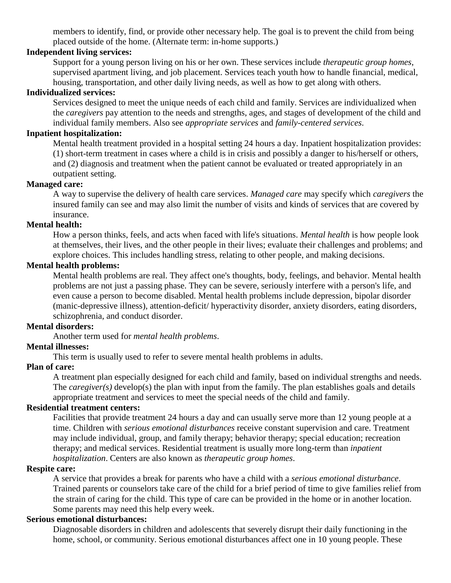members to identify, find, or provide other necessary help. The goal is to prevent the child from being placed outside of the home. (Alternate term: in-home supports.)

### **Independent living services:**

Support for a young person living on his or her own. These services include *therapeutic group homes*, supervised apartment living, and job placement. Services teach youth how to handle financial, medical, housing, transportation, and other daily living needs, as well as how to get along with others.

#### **Individualized services:**

Services designed to meet the unique needs of each child and family. Services are individualized when the *caregivers* pay attention to the needs and strengths, ages, and stages of development of the child and individual family members. Also see *appropriate services* and *family-centered services*.

# **Inpatient hospitalization:**

Mental health treatment provided in a hospital setting 24 hours a day. Inpatient hospitalization provides: (1) short-term treatment in cases where a child is in crisis and possibly a danger to his/herself or others, and (2) diagnosis and treatment when the patient cannot be evaluated or treated appropriately in an outpatient setting.

### **Managed care:**

A way to supervise the delivery of health care services. *Managed care* may specify which *caregivers* the insured family can see and may also limit the number of visits and kinds of services that are covered by insurance.

#### **Mental health:**

How a person thinks, feels, and acts when faced with life's situations. *Mental health* is how people look at themselves, their lives, and the other people in their lives; evaluate their challenges and problems; and explore choices. This includes handling stress, relating to other people, and making decisions.

#### **Mental health problems:**

Mental health problems are real. They affect one's thoughts, body, feelings, and behavior. Mental health problems are not just a passing phase. They can be severe, seriously interfere with a person's life, and even cause a person to become disabled. Mental health problems include depression, bipolar disorder (manic-depressive illness), attention-deficit/ hyperactivity disorder, anxiety disorders, eating disorders, schizophrenia, and conduct disorder.

#### **Mental disorders:**

Another term used for *mental health problems*.

#### **Mental illnesses:**

This term is usually used to refer to severe mental health problems in adults.

#### **Plan of care:**

A treatment plan especially designed for each child and family, based on individual strengths and needs. The *caregiver(s)* develop(s) the plan with input from the family. The plan establishes goals and details appropriate treatment and services to meet the special needs of the child and family.

#### **Residential treatment centers:**

Facilities that provide treatment 24 hours a day and can usually serve more than 12 young people at a time. Children with *serious emotional disturbances* receive constant supervision and care. Treatment may include individual, group, and family therapy; behavior therapy; special education; recreation therapy; and medical services. Residential treatment is usually more long-term than *inpatient hospitalization*. Centers are also known as *therapeutic group homes*.

#### **Respite care:**

A service that provides a break for parents who have a child with a *serious emotional disturbance*. Trained parents or counselors take care of the child for a brief period of time to give families relief from the strain of caring for the child. This type of care can be provided in the home or in another location. Some parents may need this help every week.

### **Serious emotional disturbances:**

Diagnosable disorders in children and adolescents that severely disrupt their daily functioning in the home, school, or community. Serious emotional disturbances affect one in 10 young people. These